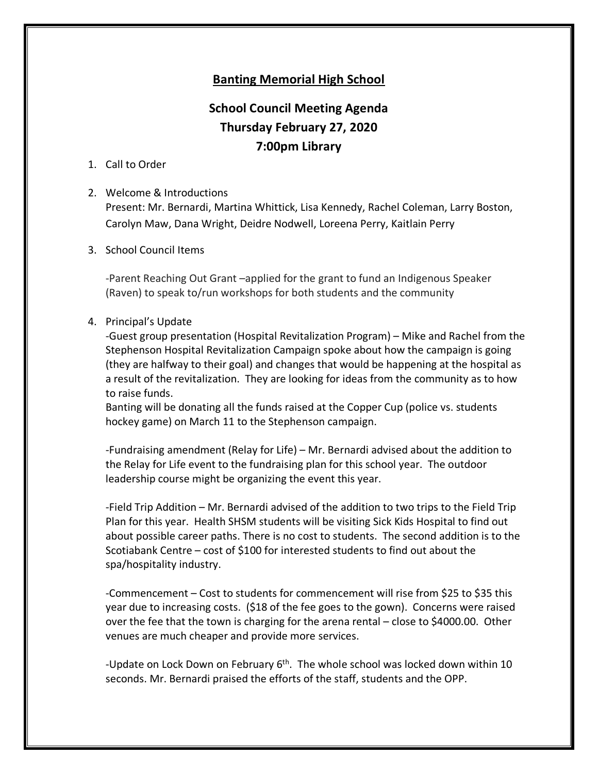# **Banting Memorial High School**

# **School Council Meeting Agenda Thursday February 27, 2020 7:00pm Library**

## 1. Call to Order

### 2. Welcome & Introductions

Present: Mr. Bernardi, Martina Whittick, Lisa Kennedy, Rachel Coleman, Larry Boston, Carolyn Maw, Dana Wright, Deidre Nodwell, Loreena Perry, Kaitlain Perry

3. School Council Items

-Parent Reaching Out Grant –applied for the grant to fund an Indigenous Speaker (Raven) to speak to/run workshops for both students and the community

### 4. Principal's Update

-Guest group presentation (Hospital Revitalization Program) – Mike and Rachel from the Stephenson Hospital Revitalization Campaign spoke about how the campaign is going (they are halfway to their goal) and changes that would be happening at the hospital as a result of the revitalization. They are looking for ideas from the community as to how to raise funds.

Banting will be donating all the funds raised at the Copper Cup (police vs. students hockey game) on March 11 to the Stephenson campaign.

-Fundraising amendment (Relay for Life) – Mr. Bernardi advised about the addition to the Relay for Life event to the fundraising plan for this school year. The outdoor leadership course might be organizing the event this year.

-Field Trip Addition – Mr. Bernardi advised of the addition to two trips to the Field Trip Plan for this year. Health SHSM students will be visiting Sick Kids Hospital to find out about possible career paths. There is no cost to students. The second addition is to the Scotiabank Centre – cost of \$100 for interested students to find out about the spa/hospitality industry.

-Commencement – Cost to students for commencement will rise from \$25 to \$35 this year due to increasing costs. (\$18 of the fee goes to the gown). Concerns were raised over the fee that the town is charging for the arena rental – close to \$4000.00. Other venues are much cheaper and provide more services.

-Update on Lock Down on February  $6<sup>th</sup>$ . The whole school was locked down within 10 seconds. Mr. Bernardi praised the efforts of the staff, students and the OPP.